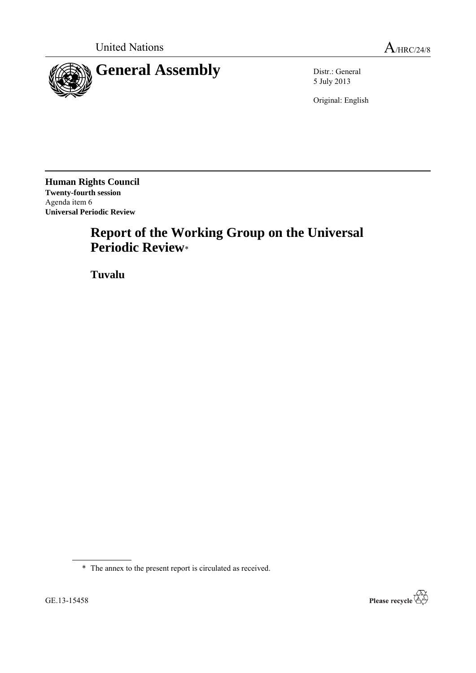

5 July 2013

Original: English

**Human Rights Council Twenty-fourth session** Agenda item 6 **Universal Periodic Review**

# **Report of the Working Group on the Universal Periodic Review**\*

**Tuvalu**

\* The annex to the present report is circulated as received.

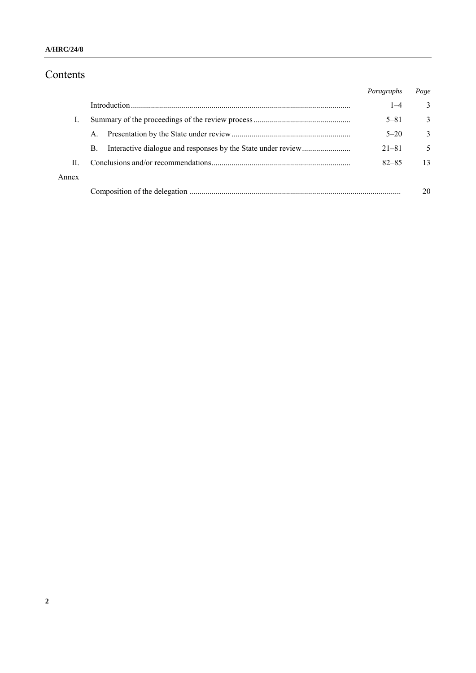### Contents

|       |    | Paragraphs | Page         |
|-------|----|------------|--------------|
|       |    | $1 - 4$    | 3            |
|       |    | $5 - 81$   | 3            |
|       | A. | $5 - 20$   | $\mathbf{3}$ |
|       | B. | $21 - 81$  | 5            |
| П     |    | $82 - 85$  | 13           |
| Annex |    |            |              |
|       |    |            | 20           |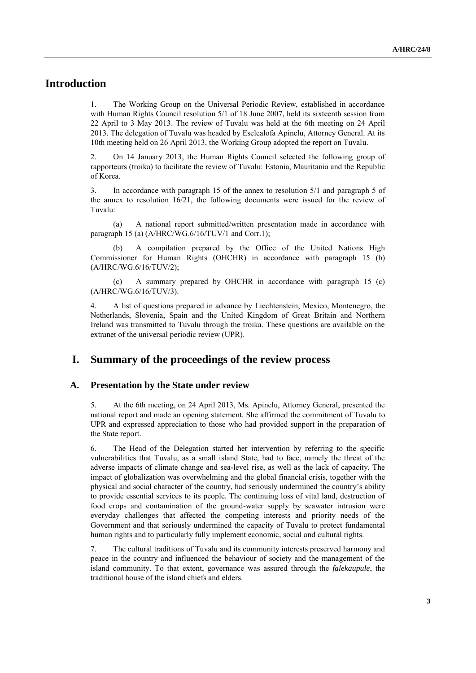### **Introduction**

1. The Working Group on the Universal Periodic Review, established in accordance with Human Rights Council resolution 5/1 of 18 June 2007, held its sixteenth session from 22 April to 3 May 2013. The review of Tuvalu was held at the 6th meeting on 24 April 2013. The delegation of Tuvalu was headed by Eselealofa Apinelu, Attorney General. At its 10th meeting held on 26 April 2013, the Working Group adopted the report on Tuvalu.

2. On 14 January 2013, the Human Rights Council selected the following group of rapporteurs (troika) to facilitate the review of Tuvalu: Estonia, Mauritania and the Republic of Korea.

3. In accordance with paragraph 15 of the annex to resolution 5/1 and paragraph 5 of the annex to resolution 16/21, the following documents were issued for the review of Tuvalu:

(a) A national report submitted/written presentation made in accordance with paragraph 15 (a) (A/HRC/WG.6/16/TUV/1 and Corr.1);

A compilation prepared by the Office of the United Nations High Commissioner for Human Rights (OHCHR) in accordance with paragraph 15 (b) (A/HRC/WG.6/16/TUV/2);

(c) A summary prepared by OHCHR in accordance with paragraph 15 (c) (A/HRC/WG.6/16/TUV/3).

4. A list of questions prepared in advance by Liechtenstein, Mexico, Montenegro, the Netherlands, Slovenia, Spain and the United Kingdom of Great Britain and Northern Ireland was transmitted to Tuvalu through the troika. These questions are available on the extranet of the universal periodic review (UPR).

### **I. Summary of the proceedings of the review process**

#### **A. Presentation by the State under review**

5. At the 6th meeting, on 24 April 2013, Ms. Apinelu, Attorney General, presented the national report and made an opening statement. She affirmed the commitment of Tuvalu to UPR and expressed appreciation to those who had provided support in the preparation of the State report.

6. The Head of the Delegation started her intervention by referring to the specific vulnerabilities that Tuvalu, as a small island State, had to face, namely the threat of the adverse impacts of climate change and sea-level rise, as well as the lack of capacity. The impact of globalization was overwhelming and the global financial crisis, together with the physical and social character of the country, had seriously undermined the country's ability to provide essential services to its people. The continuing loss of vital land, destruction of food crops and contamination of the ground-water supply by seawater intrusion were everyday challenges that affected the competing interests and priority needs of the Government and that seriously undermined the capacity of Tuvalu to protect fundamental human rights and to particularly fully implement economic, social and cultural rights.

7. The cultural traditions of Tuvalu and its community interests preserved harmony and peace in the country and influenced the behaviour of society and the management of the island community. To that extent, governance was assured through the *falekaupule*, the traditional house of the island chiefs and elders.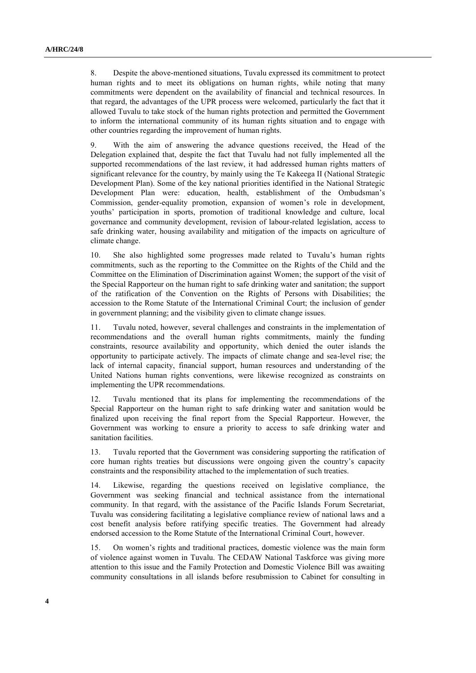8. Despite the above-mentioned situations, Tuvalu expressed its commitment to protect human rights and to meet its obligations on human rights, while noting that many commitments were dependent on the availability of financial and technical resources. In that regard, the advantages of the UPR process were welcomed, particularly the fact that it allowed Tuvalu to take stock of the human rights protection and permitted the Government to inform the international community of its human rights situation and to engage with other countries regarding the improvement of human rights.

9. With the aim of answering the advance questions received, the Head of the Delegation explained that, despite the fact that Tuvalu had not fully implemented all the supported recommendations of the last review, it had addressed human rights matters of significant relevance for the country, by mainly using the Te Kakeega II (National Strategic Development Plan). Some of the key national priorities identified in the National Strategic Development Plan were: education, health, establishment of the Ombudsman's Commission, gender-equality promotion, expansion of women's role in development, youths' participation in sports, promotion of traditional knowledge and culture, local governance and community development, revision of labour-related legislation, access to safe drinking water, housing availability and mitigation of the impacts on agriculture of climate change.

10. She also highlighted some progresses made related to Tuvalu's human rights commitments, such as the reporting to the Committee on the Rights of the Child and the Committee on the Elimination of Discrimination against Women; the support of the visit of the Special Rapporteur on the human right to safe drinking water and sanitation; the support of the ratification of the Convention on the Rights of Persons with Disabilities; the accession to the Rome Statute of the International Criminal Court; the inclusion of gender in government planning; and the visibility given to climate change issues.

11. Tuvalu noted, however, several challenges and constraints in the implementation of recommendations and the overall human rights commitments, mainly the funding constraints, resource availability and opportunity, which denied the outer islands the opportunity to participate actively. The impacts of climate change and sea-level rise; the lack of internal capacity, financial support, human resources and understanding of the United Nations human rights conventions, were likewise recognized as constraints on implementing the UPR recommendations.

12. Tuvalu mentioned that its plans for implementing the recommendations of the Special Rapporteur on the human right to safe drinking water and sanitation would be finalized upon receiving the final report from the Special Rapporteur. However, the Government was working to ensure a priority to access to safe drinking water and sanitation facilities.

13. Tuvalu reported that the Government was considering supporting the ratification of core human rights treaties but discussions were ongoing given the country's capacity constraints and the responsibility attached to the implementation of such treaties.

14. Likewise, regarding the questions received on legislative compliance, the Government was seeking financial and technical assistance from the international community. In that regard, with the assistance of the Pacific Islands Forum Secretariat, Tuvalu was considering facilitating a legislative compliance review of national laws and a cost benefit analysis before ratifying specific treaties. The Government had already endorsed accession to the Rome Statute of the International Criminal Court, however.

15. On women's rights and traditional practices, domestic violence was the main form of violence against women in Tuvalu. The CEDAW National Taskforce was giving more attention to this issue and the Family Protection and Domestic Violence Bill was awaiting community consultations in all islands before resubmission to Cabinet for consulting in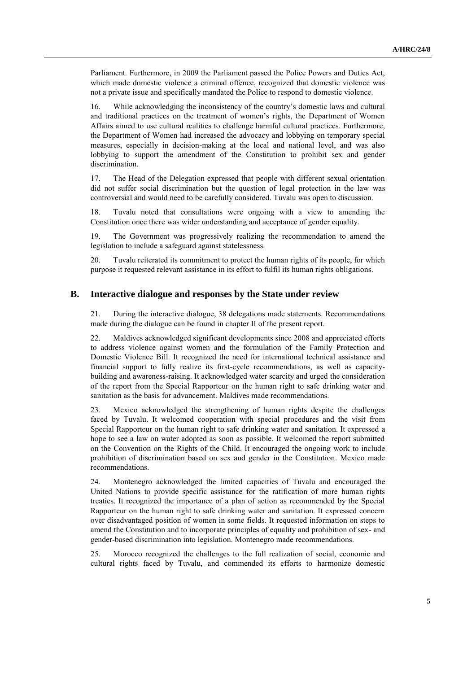Parliament. Furthermore, in 2009 the Parliament passed the Police Powers and Duties Act, which made domestic violence a criminal offence, recognized that domestic violence was not a private issue and specifically mandated the Police to respond to domestic violence.

16. While acknowledging the inconsistency of the country's domestic laws and cultural and traditional practices on the treatment of women's rights, the Department of Women Affairs aimed to use cultural realities to challenge harmful cultural practices. Furthermore, the Department of Women had increased the advocacy and lobbying on temporary special measures, especially in decision-making at the local and national level, and was also lobbying to support the amendment of the Constitution to prohibit sex and gender discrimination.

17. The Head of the Delegation expressed that people with different sexual orientation did not suffer social discrimination but the question of legal protection in the law was controversial and would need to be carefully considered. Tuvalu was open to discussion.

18. Tuvalu noted that consultations were ongoing with a view to amending the Constitution once there was wider understanding and acceptance of gender equality.

19. The Government was progressively realizing the recommendation to amend the legislation to include a safeguard against statelessness.

20. Tuvalu reiterated its commitment to protect the human rights of its people, for which purpose it requested relevant assistance in its effort to fulfil its human rights obligations.

#### **B. Interactive dialogue and responses by the State under review**

21. During the interactive dialogue, 38 delegations made statements. Recommendations made during the dialogue can be found in chapter II of the present report.

22. Maldives acknowledged significant developments since 2008 and appreciated efforts to address violence against women and the formulation of the Family Protection and Domestic Violence Bill. It recognized the need for international technical assistance and financial support to fully realize its first-cycle recommendations, as well as capacitybuilding and awareness-raising. It acknowledged water scarcity and urged the consideration of the report from the Special Rapporteur on the human right to safe drinking water and sanitation as the basis for advancement. Maldives made recommendations.

23. Mexico acknowledged the strengthening of human rights despite the challenges faced by Tuvalu. It welcomed cooperation with special procedures and the visit from Special Rapporteur on the human right to safe drinking water and sanitation. It expressed a hope to see a law on water adopted as soon as possible. It welcomed the report submitted on the Convention on the Rights of the Child. It encouraged the ongoing work to include prohibition of discrimination based on sex and gender in the Constitution. Mexico made recommendations.

24. Montenegro acknowledged the limited capacities of Tuvalu and encouraged the United Nations to provide specific assistance for the ratification of more human rights treaties. It recognized the importance of a plan of action as recommended by the Special Rapporteur on the human right to safe drinking water and sanitation. It expressed concern over disadvantaged position of women in some fields. It requested information on steps to amend the Constitution and to incorporate principles of equality and prohibition of sex- and gender-based discrimination into legislation. Montenegro made recommendations.

25. Morocco recognized the challenges to the full realization of social, economic and cultural rights faced by Tuvalu, and commended its efforts to harmonize domestic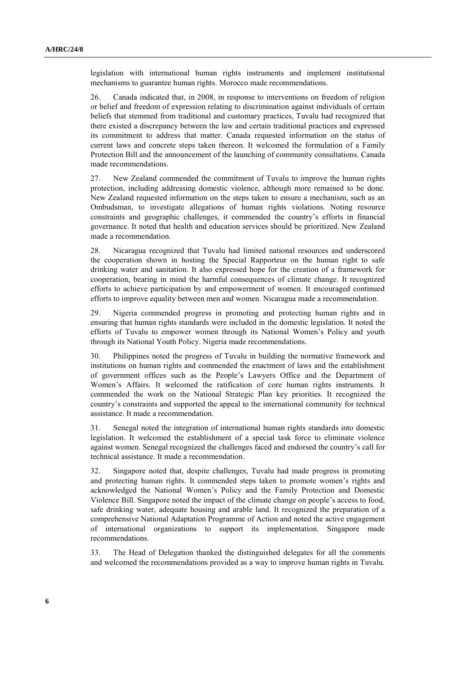legislation with international human rights instruments and implement institutional mechanisms to guarantee human rights. Morocco made recommendations.

26. Canada indicated that, in 2008, in response to interventions on freedom of religion or belief and freedom of expression relating to discrimination against individuals of certain beliefs that stemmed from traditional and customary practices, Tuvalu had recognized that there existed a discrepancy between the law and certain traditional practices and expressed its commitment to address that matter. Canada requested information on the status of current laws and concrete steps taken thereon. It welcomed the formulation of a Family Protection Bill and the announcement of the launching of community consultations. Canada made recommendations.

27. New Zealand commended the commitment of Tuvalu to improve the human rights protection, including addressing domestic violence, although more remained to be done. New Zealand requested information on the steps taken to ensure a mechanism, such as an Ombudsman, to investigate allegations of human rights violations. Noting resource constraints and geographic challenges, it commended the country's efforts in financial governance. It noted that health and education services should be prioritized. New Zealand made a recommendation.

28. Nicaragua recognized that Tuvalu had limited national resources and underscored the cooperation shown in hosting the Special Rapporteur on the human right to safe drinking water and sanitation. It also expressed hope for the creation of a framework for cooperation, bearing in mind the harmful consequences of climate change. It recognized efforts to achieve participation by and empowerment of women. It encouraged continued efforts to improve equality between men and women. Nicaragua made a recommendation.

29. Nigeria commended progress in promoting and protecting human rights and in ensuring that human rights standards were included in the domestic legislation. It noted the efforts of Tuvalu to empower women through its National Women's Policy and youth through its National Youth Policy. Nigeria made recommendations.

30. Philippines noted the progress of Tuvalu in building the normative framework and institutions on human rights and commended the enactment of laws and the establishment of government offices such as the People's Lawyers Office and the Department of Women's Affairs. It welcomed the ratification of core human rights instruments. It commended the work on the National Strategic Plan key priorities. It recognized the country's constraints and supported the appeal to the international community for technical assistance. It made a recommendation.

31. Senegal noted the integration of international human rights standards into domestic legislation. It welcomed the establishment of a special task force to eliminate violence against women. Senegal recognized the challenges faced and endorsed the country's call for technical assistance. It made a recommendation.

32. Singapore noted that, despite challenges, Tuvalu had made progress in promoting and protecting human rights. It commended steps taken to promote women's rights and acknowledged the National Women's Policy and the Family Protection and Domestic Violence Bill. Singapore noted the impact of the climate change on people's access to food, safe drinking water, adequate housing and arable land. It recognized the preparation of a comprehensive National Adaptation Programme of Action and noted the active engagement of international organizations to support its implementation. Singapore made recommendations.

33. The Head of Delegation thanked the distinguished delegates for all the comments and welcomed the recommendations provided as a way to improve human rights in Tuvalu.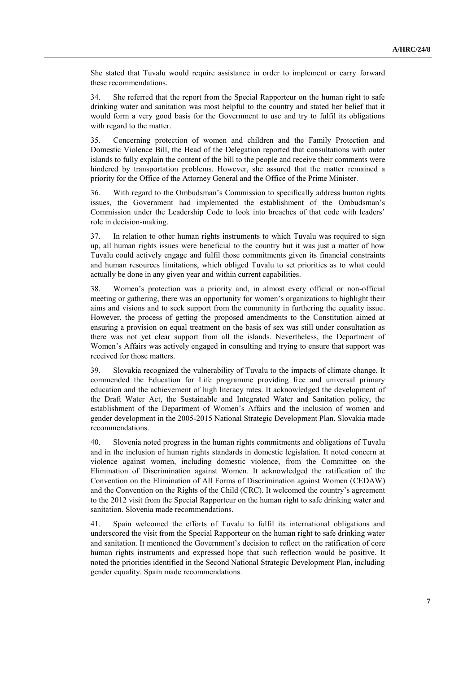She stated that Tuvalu would require assistance in order to implement or carry forward these recommendations.

34. She referred that the report from the Special Rapporteur on the human right to safe drinking water and sanitation was most helpful to the country and stated her belief that it would form a very good basis for the Government to use and try to fulfil its obligations with regard to the matter.

35. Concerning protection of women and children and the Family Protection and Domestic Violence Bill, the Head of the Delegation reported that consultations with outer islands to fully explain the content of the bill to the people and receive their comments were hindered by transportation problems. However, she assured that the matter remained a priority for the Office of the Attorney General and the Office of the Prime Minister.

36. With regard to the Ombudsman's Commission to specifically address human rights issues, the Government had implemented the establishment of the Ombudsman's Commission under the Leadership Code to look into breaches of that code with leaders' role in decision-making.

37. In relation to other human rights instruments to which Tuvalu was required to sign up, all human rights issues were beneficial to the country but it was just a matter of how Tuvalu could actively engage and fulfil those commitments given its financial constraints and human resources limitations, which obliged Tuvalu to set priorities as to what could actually be done in any given year and within current capabilities.

38. Women's protection was a priority and, in almost every official or non-official meeting or gathering, there was an opportunity for women's organizations to highlight their aims and visions and to seek support from the community in furthering the equality issue. However, the process of getting the proposed amendments to the Constitution aimed at ensuring a provision on equal treatment on the basis of sex was still under consultation as there was not yet clear support from all the islands. Nevertheless, the Department of Women's Affairs was actively engaged in consulting and trying to ensure that support was received for those matters.

39. Slovakia recognized the vulnerability of Tuvalu to the impacts of climate change. It commended the Education for Life programme providing free and universal primary education and the achievement of high literacy rates. It acknowledged the development of the Draft Water Act, the Sustainable and Integrated Water and Sanitation policy, the establishment of the Department of Women's Affairs and the inclusion of women and gender development in the 2005-2015 National Strategic Development Plan. Slovakia made recommendations.

40. Slovenia noted progress in the human rights commitments and obligations of Tuvalu and in the inclusion of human rights standards in domestic legislation. It noted concern at violence against women, including domestic violence, from the Committee on the Elimination of Discrimination against Women. It acknowledged the ratification of the Convention on the Elimination of All Forms of Discrimination against Women (CEDAW) and the Convention on the Rights of the Child (CRC). It welcomed the country's agreement to the 2012 visit from the Special Rapporteur on the human right to safe drinking water and sanitation. Slovenia made recommendations.

41. Spain welcomed the efforts of Tuvalu to fulfil its international obligations and underscored the visit from the Special Rapporteur on the human right to safe drinking water and sanitation. It mentioned the Government's decision to reflect on the ratification of core human rights instruments and expressed hope that such reflection would be positive. It noted the priorities identified in the Second National Strategic Development Plan, including gender equality. Spain made recommendations.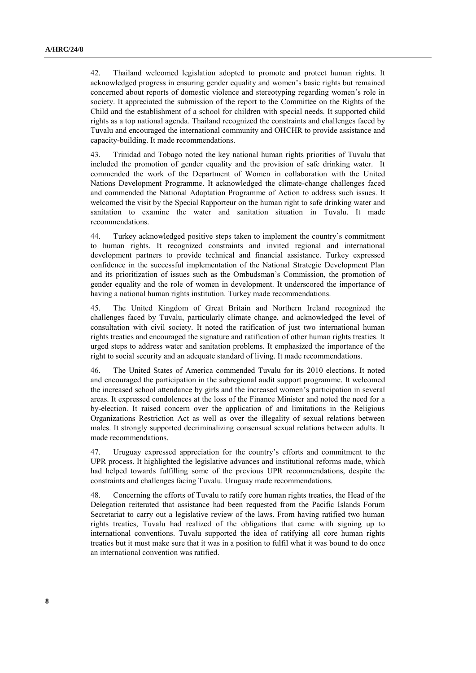42. Thailand welcomed legislation adopted to promote and protect human rights. It acknowledged progress in ensuring gender equality and women's basic rights but remained concerned about reports of domestic violence and stereotyping regarding women's role in society. It appreciated the submission of the report to the Committee on the Rights of the Child and the establishment of a school for children with special needs. It supported child rights as a top national agenda. Thailand recognized the constraints and challenges faced by Tuvalu and encouraged the international community and OHCHR to provide assistance and capacity-building. It made recommendations.

43. Trinidad and Tobago noted the key national human rights priorities of Tuvalu that included the promotion of gender equality and the provision of safe drinking water. It commended the work of the Department of Women in collaboration with the United Nations Development Programme. It acknowledged the climate-change challenges faced and commended the National Adaptation Programme of Action to address such issues. It welcomed the visit by the Special Rapporteur on the human right to safe drinking water and sanitation to examine the water and sanitation situation in Tuvalu. It made recommendations.

44. Turkey acknowledged positive steps taken to implement the country's commitment to human rights. It recognized constraints and invited regional and international development partners to provide technical and financial assistance. Turkey expressed confidence in the successful implementation of the National Strategic Development Plan and its prioritization of issues such as the Ombudsman's Commission, the promotion of gender equality and the role of women in development. It underscored the importance of having a national human rights institution. Turkey made recommendations.

45. The United Kingdom of Great Britain and Northern Ireland recognized the challenges faced by Tuvalu, particularly climate change, and acknowledged the level of consultation with civil society. It noted the ratification of just two international human rights treaties and encouraged the signature and ratification of other human rights treaties. It urged steps to address water and sanitation problems. It emphasized the importance of the right to social security and an adequate standard of living. It made recommendations.

46. The United States of America commended Tuvalu for its 2010 elections. It noted and encouraged the participation in the subregional audit support programme. It welcomed the increased school attendance by girls and the increased women's participation in several areas. It expressed condolences at the loss of the Finance Minister and noted the need for a by-election. It raised concern over the application of and limitations in the Religious Organizations Restriction Act as well as over the illegality of sexual relations between males. It strongly supported decriminalizing consensual sexual relations between adults. It made recommendations.

47. Uruguay expressed appreciation for the country's efforts and commitment to the UPR process. It highlighted the legislative advances and institutional reforms made, which had helped towards fulfilling some of the previous UPR recommendations, despite the constraints and challenges facing Tuvalu. Uruguay made recommendations.

48. Concerning the efforts of Tuvalu to ratify core human rights treaties, the Head of the Delegation reiterated that assistance had been requested from the Pacific Islands Forum Secretariat to carry out a legislative review of the laws. From having ratified two human rights treaties, Tuvalu had realized of the obligations that came with signing up to international conventions. Tuvalu supported the idea of ratifying all core human rights treaties but it must make sure that it was in a position to fulfil what it was bound to do once an international convention was ratified.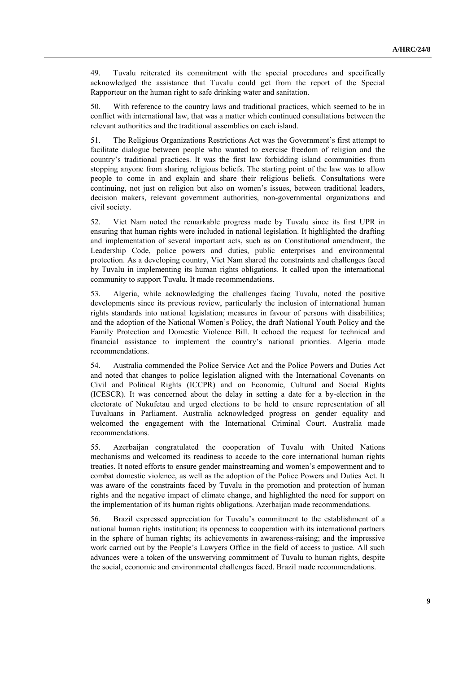49. Tuvalu reiterated its commitment with the special procedures and specifically acknowledged the assistance that Tuvalu could get from the report of the Special Rapporteur on the human right to safe drinking water and sanitation.

50. With reference to the country laws and traditional practices, which seemed to be in conflict with international law, that was a matter which continued consultations between the relevant authorities and the traditional assemblies on each island.

51. The Religious Organizations Restrictions Act was the Government's first attempt to facilitate dialogue between people who wanted to exercise freedom of religion and the country's traditional practices. It was the first law forbidding island communities from stopping anyone from sharing religious beliefs. The starting point of the law was to allow people to come in and explain and share their religious beliefs. Consultations were continuing, not just on religion but also on women's issues, between traditional leaders, decision makers, relevant government authorities, non-governmental organizations and civil society.

52. Viet Nam noted the remarkable progress made by Tuvalu since its first UPR in ensuring that human rights were included in national legislation. It highlighted the drafting and implementation of several important acts, such as on Constitutional amendment, the Leadership Code, police powers and duties, public enterprises and environmental protection. As a developing country, Viet Nam shared the constraints and challenges faced by Tuvalu in implementing its human rights obligations. It called upon the international community to support Tuvalu. It made recommendations.

53. Algeria, while acknowledging the challenges facing Tuvalu, noted the positive developments since its previous review, particularly the inclusion of international human rights standards into national legislation; measures in favour of persons with disabilities; and the adoption of the National Women's Policy, the draft National Youth Policy and the Family Protection and Domestic Violence Bill. It echoed the request for technical and financial assistance to implement the country's national priorities. Algeria made recommendations.

54. Australia commended the Police Service Act and the Police Powers and Duties Act and noted that changes to police legislation aligned with the International Covenants on Civil and Political Rights (ICCPR) and on Economic, Cultural and Social Rights (ICESCR). It was concerned about the delay in setting a date for a by-election in the electorate of Nukufetau and urged elections to be held to ensure representation of all Tuvaluans in Parliament. Australia acknowledged progress on gender equality and welcomed the engagement with the International Criminal Court. Australia made recommendations.

55. Azerbaijan congratulated the cooperation of Tuvalu with United Nations mechanisms and welcomed its readiness to accede to the core international human rights treaties. It noted efforts to ensure gender mainstreaming and women's empowerment and to combat domestic violence, as well as the adoption of the Police Powers and Duties Act. It was aware of the constraints faced by Tuvalu in the promotion and protection of human rights and the negative impact of climate change, and highlighted the need for support on the implementation of its human rights obligations. Azerbaijan made recommendations.

56. Brazil expressed appreciation for Tuvalu's commitment to the establishment of a national human rights institution; its openness to cooperation with its international partners in the sphere of human rights; its achievements in awareness-raising; and the impressive work carried out by the People's Lawyers Office in the field of access to justice. All such advances were a token of the unswerving commitment of Tuvalu to human rights, despite the social, economic and environmental challenges faced. Brazil made recommendations.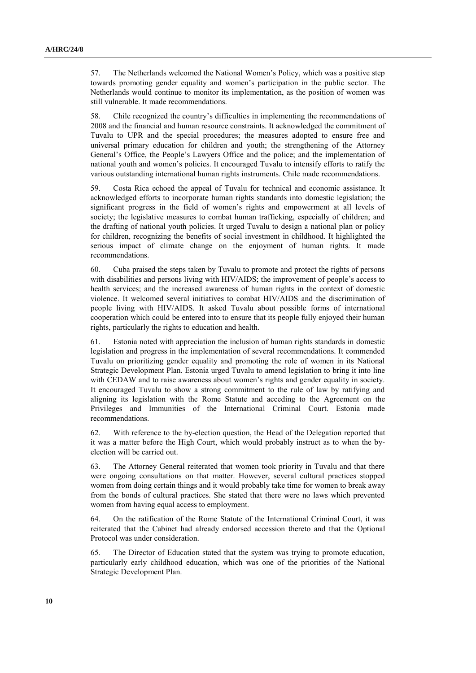57. The Netherlands welcomed the National Women's Policy, which was a positive step towards promoting gender equality and women's participation in the public sector. The Netherlands would continue to monitor its implementation, as the position of women was still vulnerable. It made recommendations.

58. Chile recognized the country's difficulties in implementing the recommendations of 2008 and the financial and human resource constraints. It acknowledged the commitment of Tuvalu to UPR and the special procedures; the measures adopted to ensure free and universal primary education for children and youth; the strengthening of the Attorney General's Office, the People's Lawyers Office and the police; and the implementation of national youth and women's policies. It encouraged Tuvalu to intensify efforts to ratify the various outstanding international human rights instruments. Chile made recommendations.

59. Costa Rica echoed the appeal of Tuvalu for technical and economic assistance. It acknowledged efforts to incorporate human rights standards into domestic legislation; the significant progress in the field of women's rights and empowerment at all levels of society; the legislative measures to combat human trafficking, especially of children; and the drafting of national youth policies. It urged Tuvalu to design a national plan or policy for children, recognizing the benefits of social investment in childhood. It highlighted the serious impact of climate change on the enjoyment of human rights. It made recommendations.

60. Cuba praised the steps taken by Tuvalu to promote and protect the rights of persons with disabilities and persons living with HIV/AIDS; the improvement of people's access to health services; and the increased awareness of human rights in the context of domestic violence. It welcomed several initiatives to combat HIV/AIDS and the discrimination of people living with HIV/AIDS. It asked Tuvalu about possible forms of international cooperation which could be entered into to ensure that its people fully enjoyed their human rights, particularly the rights to education and health.

61. Estonia noted with appreciation the inclusion of human rights standards in domestic legislation and progress in the implementation of several recommendations. It commended Tuvalu on prioritizing gender equality and promoting the role of women in its National Strategic Development Plan. Estonia urged Tuvalu to amend legislation to bring it into line with CEDAW and to raise awareness about women's rights and gender equality in society. It encouraged Tuvalu to show a strong commitment to the rule of law by ratifying and aligning its legislation with the Rome Statute and acceding to the Agreement on the Privileges and Immunities of the International Criminal Court. Estonia made recommendations.

62. With reference to the by-election question, the Head of the Delegation reported that it was a matter before the High Court, which would probably instruct as to when the byelection will be carried out.

63. The Attorney General reiterated that women took priority in Tuvalu and that there were ongoing consultations on that matter. However, several cultural practices stopped women from doing certain things and it would probably take time for women to break away from the bonds of cultural practices. She stated that there were no laws which prevented women from having equal access to employment.

64. On the ratification of the Rome Statute of the International Criminal Court, it was reiterated that the Cabinet had already endorsed accession thereto and that the Optional Protocol was under consideration.

65. The Director of Education stated that the system was trying to promote education, particularly early childhood education, which was one of the priorities of the National Strategic Development Plan.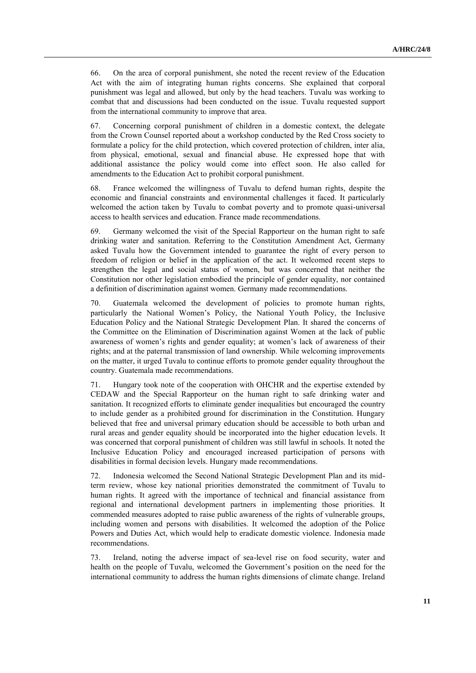66. On the area of corporal punishment, she noted the recent review of the Education Act with the aim of integrating human rights concerns. She explained that corporal punishment was legal and allowed, but only by the head teachers. Tuvalu was working to combat that and discussions had been conducted on the issue. Tuvalu requested support from the international community to improve that area.

67. Concerning corporal punishment of children in a domestic context, the delegate from the Crown Counsel reported about a workshop conducted by the Red Cross society to formulate a policy for the child protection, which covered protection of children, inter alia, from physical, emotional, sexual and financial abuse. He expressed hope that with additional assistance the policy would come into effect soon. He also called for amendments to the Education Act to prohibit corporal punishment.

68. France welcomed the willingness of Tuvalu to defend human rights, despite the economic and financial constraints and environmental challenges it faced. It particularly welcomed the action taken by Tuvalu to combat poverty and to promote quasi-universal access to health services and education. France made recommendations.

69. Germany welcomed the visit of the Special Rapporteur on the human right to safe drinking water and sanitation. Referring to the Constitution Amendment Act, Germany asked Tuvalu how the Government intended to guarantee the right of every person to freedom of religion or belief in the application of the act. It welcomed recent steps to strengthen the legal and social status of women, but was concerned that neither the Constitution nor other legislation embodied the principle of gender equality, nor contained a definition of discrimination against women. Germany made recommendations.

70. Guatemala welcomed the development of policies to promote human rights, particularly the National Women's Policy, the National Youth Policy, the Inclusive Education Policy and the National Strategic Development Plan. It shared the concerns of the Committee on the Elimination of Discrimination against Women at the lack of public awareness of women's rights and gender equality; at women's lack of awareness of their rights; and at the paternal transmission of land ownership. While welcoming improvements on the matter, it urged Tuvalu to continue efforts to promote gender equality throughout the country. Guatemala made recommendations.

71. Hungary took note of the cooperation with OHCHR and the expertise extended by CEDAW and the Special Rapporteur on the human right to safe drinking water and sanitation. It recognized efforts to eliminate gender inequalities but encouraged the country to include gender as a prohibited ground for discrimination in the Constitution. Hungary believed that free and universal primary education should be accessible to both urban and rural areas and gender equality should be incorporated into the higher education levels. It was concerned that corporal punishment of children was still lawful in schools. It noted the Inclusive Education Policy and encouraged increased participation of persons with disabilities in formal decision levels. Hungary made recommendations.

72. Indonesia welcomed the Second National Strategic Development Plan and its midterm review, whose key national priorities demonstrated the commitment of Tuvalu to human rights. It agreed with the importance of technical and financial assistance from regional and international development partners in implementing those priorities. It commended measures adopted to raise public awareness of the rights of vulnerable groups, including women and persons with disabilities. It welcomed the adoption of the Police Powers and Duties Act, which would help to eradicate domestic violence. Indonesia made recommendations.

73. Ireland, noting the adverse impact of sea-level rise on food security, water and health on the people of Tuvalu, welcomed the Government's position on the need for the international community to address the human rights dimensions of climate change. Ireland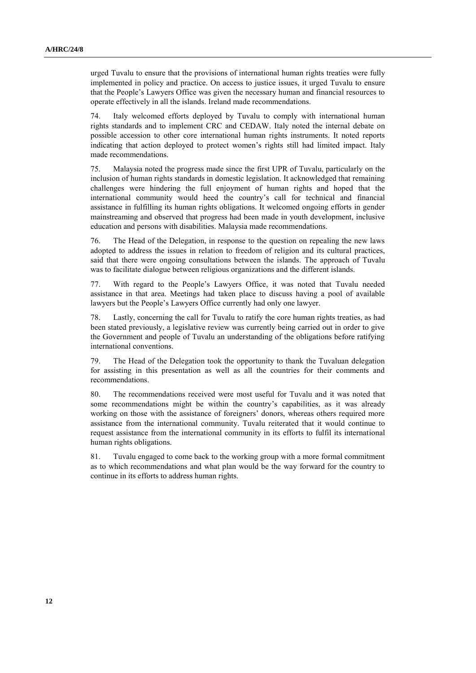urged Tuvalu to ensure that the provisions of international human rights treaties were fully implemented in policy and practice. On access to justice issues, it urged Tuvalu to ensure that the People's Lawyers Office was given the necessary human and financial resources to operate effectively in all the islands. Ireland made recommendations.

74. Italy welcomed efforts deployed by Tuvalu to comply with international human rights standards and to implement CRC and CEDAW. Italy noted the internal debate on possible accession to other core international human rights instruments. It noted reports indicating that action deployed to protect women's rights still had limited impact. Italy made recommendations.

75. Malaysia noted the progress made since the first UPR of Tuvalu, particularly on the inclusion of human rights standards in domestic legislation. It acknowledged that remaining challenges were hindering the full enjoyment of human rights and hoped that the international community would heed the country's call for technical and financial assistance in fulfilling its human rights obligations. It welcomed ongoing efforts in gender mainstreaming and observed that progress had been made in youth development, inclusive education and persons with disabilities. Malaysia made recommendations.

76. The Head of the Delegation, in response to the question on repealing the new laws adopted to address the issues in relation to freedom of religion and its cultural practices, said that there were ongoing consultations between the islands. The approach of Tuvalu was to facilitate dialogue between religious organizations and the different islands.

77. With regard to the People's Lawyers Office, it was noted that Tuvalu needed assistance in that area. Meetings had taken place to discuss having a pool of available lawyers but the People's Lawyers Office currently had only one lawyer.

78. Lastly, concerning the call for Tuvalu to ratify the core human rights treaties, as had been stated previously, a legislative review was currently being carried out in order to give the Government and people of Tuvalu an understanding of the obligations before ratifying international conventions.

79. The Head of the Delegation took the opportunity to thank the Tuvaluan delegation for assisting in this presentation as well as all the countries for their comments and recommendations.

80. The recommendations received were most useful for Tuvalu and it was noted that some recommendations might be within the country's capabilities, as it was already working on those with the assistance of foreigners' donors, whereas others required more assistance from the international community. Tuvalu reiterated that it would continue to request assistance from the international community in its efforts to fulfil its international human rights obligations.

81. Tuvalu engaged to come back to the working group with a more formal commitment as to which recommendations and what plan would be the way forward for the country to continue in its efforts to address human rights.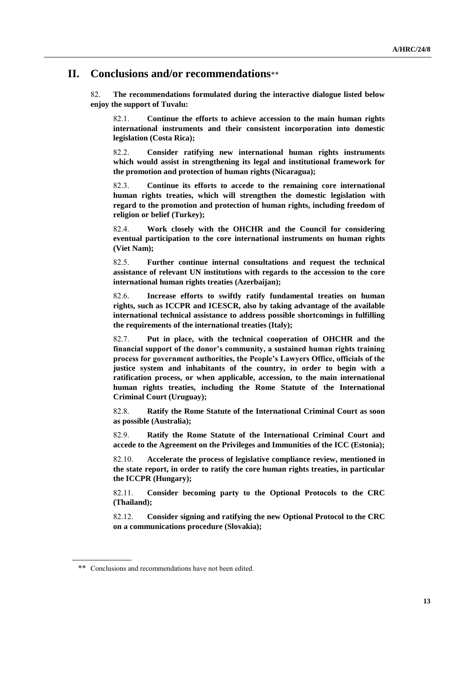#### **II. Conclusions and/or recommendations**\*\*

82. **The recommendations formulated during the interactive dialogue listed below enjoy the support of Tuvalu:**

82.1. **Continue the efforts to achieve accession to the main human rights international instruments and their consistent incorporation into domestic legislation (Costa Rica);**

82.2. **Consider ratifying new international human rights instruments which would assist in strengthening its legal and institutional framework for the promotion and protection of human rights (Nicaragua);**

82.3. **Continue its efforts to accede to the remaining core international human rights treaties, which will strengthen the domestic legislation with regard to the promotion and protection of human rights, including freedom of religion or belief (Turkey);**

82.4. **Work closely with the OHCHR and the Council for considering eventual participation to the core international instruments on human rights (Viet Nam);**

82.5. **Further continue internal consultations and request the technical assistance of relevant UN institutions with regards to the accession to the core international human rights treaties (Azerbaijan);**

82.6. **Increase efforts to swiftly ratify fundamental treaties on human rights, such as ICCPR and ICESCR, also by taking advantage of the available international technical assistance to address possible shortcomings in fulfilling the requirements of the international treaties (Italy);**

82.7. **Put in place, with the technical cooperation of OHCHR and the financial support of the donor's community, a sustained human rights training process for government authorities, the People's Lawyers Office, officials of the justice system and inhabitants of the country, in order to begin with a ratification process, or when applicable, accession, to the main international human rights treaties, including the Rome Statute of the International Criminal Court (Uruguay);**

82.8. **Ratify the Rome Statute of the International Criminal Court as soon as possible (Australia);**

82.9. **Ratify the Rome Statute of the International Criminal Court and accede to the Agreement on the Privileges and Immunities of the ICC (Estonia);**

82.10. **Accelerate the process of legislative compliance review, mentioned in the state report, in order to ratify the core human rights treaties, in particular the ICCPR (Hungary);**

82.11. **Consider becoming party to the Optional Protocols to the CRC (Thailand);**

82.12. **Consider signing and ratifying the new Optional Protocol to the CRC on a communications procedure (Slovakia);**

<sup>\*\*</sup> Conclusions and recommendations have not been edited.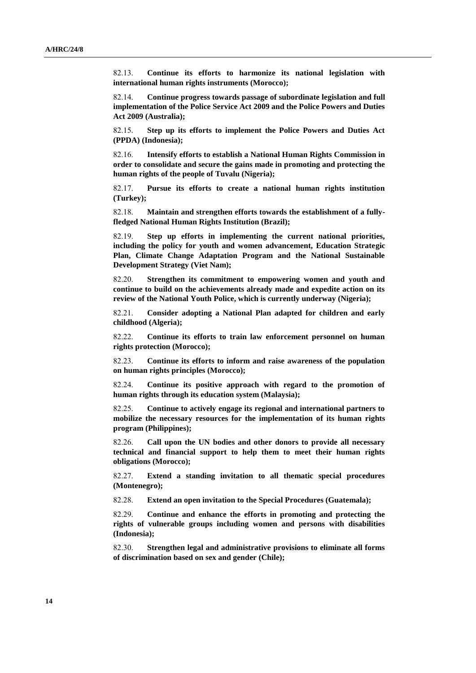82.13. **Continue its efforts to harmonize its national legislation with international human rights instruments (Morocco);**

82.14. **Continue progress towards passage of subordinate legislation and full implementation of the Police Service Act 2009 and the Police Powers and Duties Act 2009 (Australia);**

82.15. **Step up its efforts to implement the Police Powers and Duties Act (PPDA) (Indonesia);**

82.16. **Intensify efforts to establish a National Human Rights Commission in order to consolidate and secure the gains made in promoting and protecting the human rights of the people of Tuvalu (Nigeria);**

82.17. **Pursue its efforts to create a national human rights institution (Turkey);**

82.18. **Maintain and strengthen efforts towards the establishment of a fullyfledged National Human Rights Institution (Brazil);**

82.19. **Step up efforts in implementing the current national priorities, including the policy for youth and women advancement, Education Strategic Plan, Climate Change Adaptation Program and the National Sustainable Development Strategy (Viet Nam);**

82.20. **Strengthen its commitment to empowering women and youth and continue to build on the achievements already made and expedite action on its review of the National Youth Police, which is currently underway (Nigeria);**

82.21. **Consider adopting a National Plan adapted for children and early childhood (Algeria);**

82.22. **Continue its efforts to train law enforcement personnel on human rights protection (Morocco);**

82.23. **Continue its efforts to inform and raise awareness of the population on human rights principles (Morocco);**

82.24. **Continue its positive approach with regard to the promotion of human rights through its education system (Malaysia);**

82.25. **Continue to actively engage its regional and international partners to mobilize the necessary resources for the implementation of its human rights program (Philippines);**

82.26. **Call upon the UN bodies and other donors to provide all necessary technical and financial support to help them to meet their human rights obligations (Morocco);**

82.27. **Extend a standing invitation to all thematic special procedures (Montenegro);**

82.28. **Extend an open invitation to the Special Procedures (Guatemala);**

82.29. **Continue and enhance the efforts in promoting and protecting the rights of vulnerable groups including women and persons with disabilities (Indonesia);**

82.30. **Strengthen legal and administrative provisions to eliminate all forms of discrimination based on sex and gender (Chile);**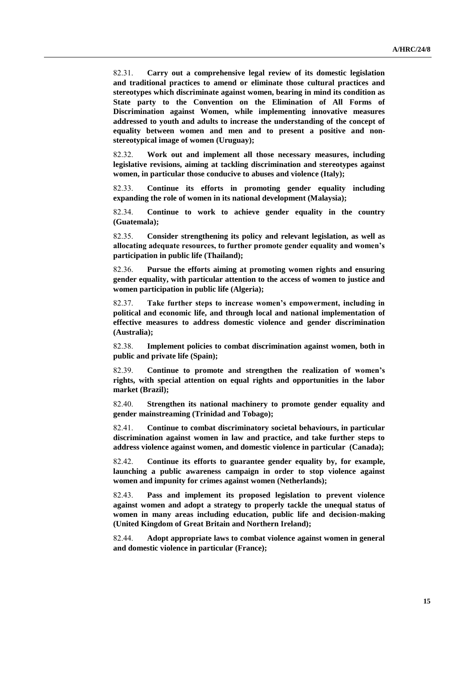82.31. **Carry out a comprehensive legal review of its domestic legislation and traditional practices to amend or eliminate those cultural practices and stereotypes which discriminate against women, bearing in mind its condition as State party to the Convention on the Elimination of All Forms of Discrimination against Women, while implementing innovative measures addressed to youth and adults to increase the understanding of the concept of equality between women and men and to present a positive and nonstereotypical image of women (Uruguay);**

82.32. **Work out and implement all those necessary measures, including legislative revisions, aiming at tackling discrimination and stereotypes against women, in particular those conducive to abuses and violence (Italy);**

82.33. **Continue its efforts in promoting gender equality including expanding the role of women in its national development (Malaysia);**

82.34. **Continue to work to achieve gender equality in the country (Guatemala);**

82.35. **Consider strengthening its policy and relevant legislation, as well as allocating adequate resources, to further promote gender equality and women's participation in public life (Thailand);**

82.36. **Pursue the efforts aiming at promoting women rights and ensuring gender equality, with particular attention to the access of women to justice and women participation in public life (Algeria);**

82.37. **Take further steps to increase women's empowerment, including in political and economic life, and through local and national implementation of effective measures to address domestic violence and gender discrimination (Australia);**

82.38. **Implement policies to combat discrimination against women, both in public and private life (Spain);**

82.39. **Continue to promote and strengthen the realization of women's rights, with special attention on equal rights and opportunities in the labor market (Brazil);**

82.40. **Strengthen its national machinery to promote gender equality and gender mainstreaming (Trinidad and Tobago);**

82.41. **Continue to combat discriminatory societal behaviours, in particular discrimination against women in law and practice, and take further steps to address violence against women, and domestic violence in particular (Canada);**

82.42. **Continue its efforts to guarantee gender equality by, for example, launching a public awareness campaign in order to stop violence against women and impunity for crimes against women (Netherlands);**

82.43. **Pass and implement its proposed legislation to prevent violence against women and adopt a strategy to properly tackle the unequal status of women in many areas including education, public life and decision-making (United Kingdom of Great Britain and Northern Ireland);**

82.44. **Adopt appropriate laws to combat violence against women in general and domestic violence in particular (France);**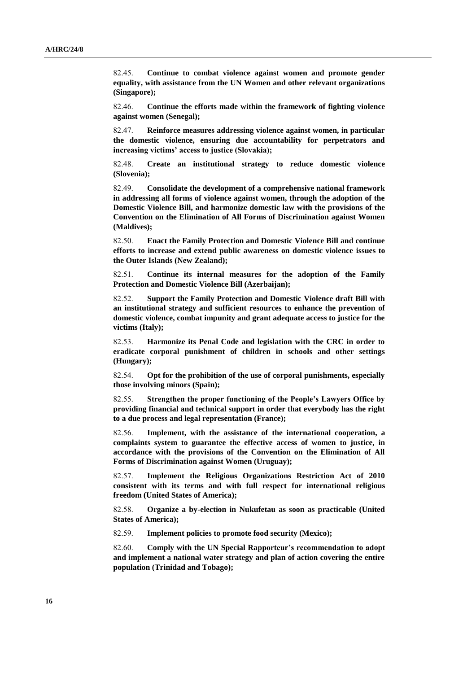82.45. **Continue to combat violence against women and promote gender equality, with assistance from the UN Women and other relevant organizations (Singapore);**

82.46. **Continue the efforts made within the framework of fighting violence against women (Senegal);**

82.47. **Reinforce measures addressing violence against women, in particular the domestic violence, ensuring due accountability for perpetrators and increasing victims' access to justice (Slovakia);**

82.48. **Create an institutional strategy to reduce domestic violence (Slovenia);**

82.49. **Consolidate the development of a comprehensive national framework in addressing all forms of violence against women, through the adoption of the Domestic Violence Bill, and harmonize domestic law with the provisions of the Convention on the Elimination of All Forms of Discrimination against Women (Maldives);**

82.50. **Enact the Family Protection and Domestic Violence Bill and continue efforts to increase and extend public awareness on domestic violence issues to the Outer Islands (New Zealand);**

82.51. **Continue its internal measures for the adoption of the Family Protection and Domestic Violence Bill (Azerbaijan);**

82.52. **Support the Family Protection and Domestic Violence draft Bill with an institutional strategy and sufficient resources to enhance the prevention of domestic violence, combat impunity and grant adequate access to justice for the victims (Italy);**

82.53. **Harmonize its Penal Code and legislation with the CRC in order to eradicate corporal punishment of children in schools and other settings (Hungary);**

82.54. **Opt for the prohibition of the use of corporal punishments, especially those involving minors (Spain);**

82.55. **Strengthen the proper functioning of the People's Lawyers Office by providing financial and technical support in order that everybody has the right to a due process and legal representation (France);**

82.56. **Implement, with the assistance of the international cooperation, a complaints system to guarantee the effective access of women to justice, in accordance with the provisions of the Convention on the Elimination of All Forms of Discrimination against Women (Uruguay);**

82.57. **Implement the Religious Organizations Restriction Act of 2010 consistent with its terms and with full respect for international religious freedom (United States of America);**

82.58. **Organize a by-election in Nukufetau as soon as practicable (United States of America);**

82.59. **Implement policies to promote food security (Mexico);**

82.60. **Comply with the UN Special Rapporteur's recommendation to adopt and implement a national water strategy and plan of action covering the entire population (Trinidad and Tobago);**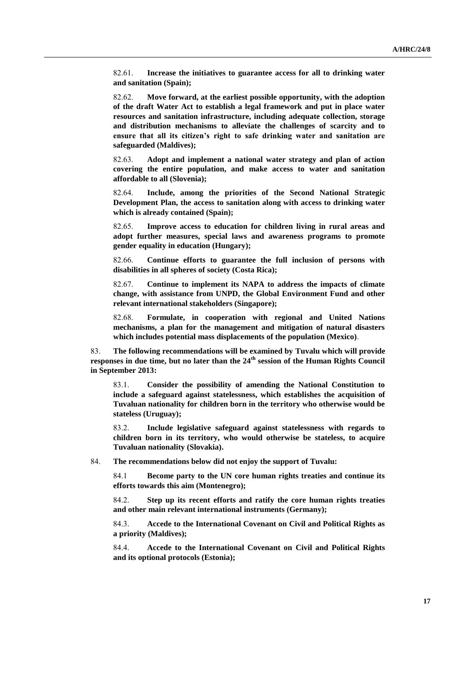82.61. **Increase the initiatives to guarantee access for all to drinking water and sanitation (Spain);**

82.62. **Move forward, at the earliest possible opportunity, with the adoption of the draft Water Act to establish a legal framework and put in place water resources and sanitation infrastructure, including adequate collection, storage and distribution mechanisms to alleviate the challenges of scarcity and to ensure that all its citizen's right to safe drinking water and sanitation are safeguarded (Maldives);**

82.63. **Adopt and implement a national water strategy and plan of action covering the entire population, and make access to water and sanitation affordable to all (Slovenia);**

82.64. **Include, among the priorities of the Second National Strategic Development Plan, the access to sanitation along with access to drinking water which is already contained (Spain);**

82.65. **Improve access to education for children living in rural areas and adopt further measures, special laws and awareness programs to promote gender equality in education (Hungary);**

82.66. **Continue efforts to guarantee the full inclusion of persons with disabilities in all spheres of society (Costa Rica);**

82.67. **Continue to implement its NAPA to address the impacts of climate change, with assistance from UNPD, the Global Environment Fund and other relevant international stakeholders (Singapore);**

82.68. **Formulate, in cooperation with regional and United Nations mechanisms, a plan for the management and mitigation of natural disasters which includes potential mass displacements of the population (Mexico)**.

83. **The following recommendations will be examined by Tuvalu which will provide responses in due time, but no later than the 24th session of the Human Rights Council in September 2013:**

83.1. **Consider the possibility of amending the National Constitution to include a safeguard against statelessness, which establishes the acquisition of Tuvaluan nationality for children born in the territory who otherwise would be stateless (Uruguay);**

83.2. **Include legislative safeguard against statelessness with regards to children born in its territory, who would otherwise be stateless, to acquire Tuvaluan nationality (Slovakia).**

84. **The recommendations below did not enjoy the support of Tuvalu:**

84.1 **Become party to the UN core human rights treaties and continue its efforts towards this aim (Montenegro);**

84.2. **Step up its recent efforts and ratify the core human rights treaties and other main relevant international instruments (Germany);**

84.3. **Accede to the International Covenant on Civil and Political Rights as a priority (Maldives);**

84.4. **Accede to the International Covenant on Civil and Political Rights and its optional protocols (Estonia);**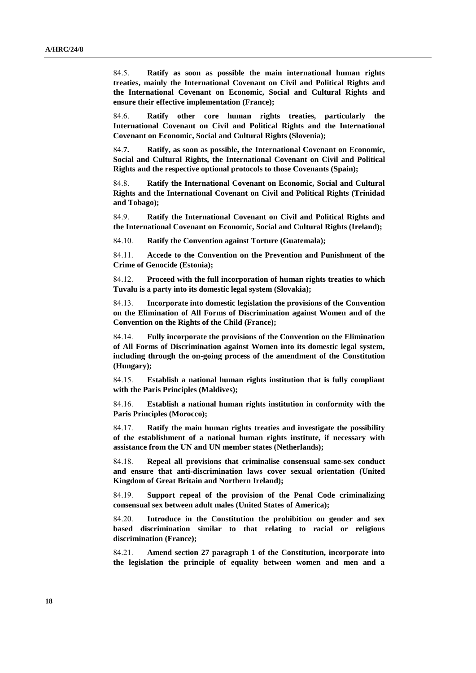84.5. **Ratify as soon as possible the main international human rights treaties, mainly the International Covenant on Civil and Political Rights and the International Covenant on Economic, Social and Cultural Rights and ensure their effective implementation (France);**

84.6. **Ratify other core human rights treaties, particularly the International Covenant on Civil and Political Rights and the International Covenant on Economic, Social and Cultural Rights (Slovenia);**

84.**7. Ratify, as soon as possible, the International Covenant on Economic, Social and Cultural Rights, the International Covenant on Civil and Political Rights and the respective optional protocols to those Covenants (Spain);**

84.8. **Ratify the International Covenant on Economic, Social and Cultural Rights and the International Covenant on Civil and Political Rights (Trinidad and Tobago);**

84.9. **Ratify the International Covenant on Civil and Political Rights and the International Covenant on Economic, Social and Cultural Rights (Ireland);**

84.10. **Ratify the Convention against Torture (Guatemala);**

84.11. **Accede to the Convention on the Prevention and Punishment of the Crime of Genocide (Estonia);**

84.12. **Proceed with the full incorporation of human rights treaties to which Tuvalu is a party into its domestic legal system (Slovakia);**

84.13. **Incorporate into domestic legislation the provisions of the Convention on the Elimination of All Forms of Discrimination against Women and of the Convention on the Rights of the Child (France);**

84.14. **Fully incorporate the provisions of the Convention on the Elimination of All Forms of Discrimination against Women into its domestic legal system, including through the on-going process of the amendment of the Constitution (Hungary);**

84.15. **Establish a national human rights institution that is fully compliant with the Paris Principles (Maldives);**

84.16. **Establish a national human rights institution in conformity with the Paris Principles (Morocco);**

84.17. **Ratify the main human rights treaties and investigate the possibility of the establishment of a national human rights institute, if necessary with assistance from the UN and UN member states (Netherlands);**

84.18. **Repeal all provisions that criminalise consensual same-sex conduct and ensure that anti-discrimination laws cover sexual orientation (United Kingdom of Great Britain and Northern Ireland);**

84.19. **Support repeal of the provision of the Penal Code criminalizing consensual sex between adult males (United States of America);**

84.20. **Introduce in the Constitution the prohibition on gender and sex based discrimination similar to that relating to racial or religious discrimination (France);**

84.21. **Amend section 27 paragraph 1 of the Constitution, incorporate into the legislation the principle of equality between women and men and a**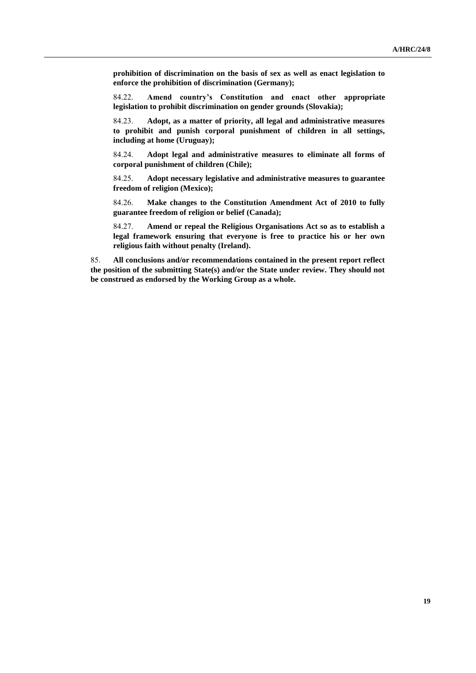**prohibition of discrimination on the basis of sex as well as enact legislation to enforce the prohibition of discrimination (Germany);**

84.22. **Amend country's Constitution and enact other appropriate legislation to prohibit discrimination on gender grounds (Slovakia);**

84.23. **Adopt, as a matter of priority, all legal and administrative measures to prohibit and punish corporal punishment of children in all settings, including at home (Uruguay);**

84.24. **Adopt legal and administrative measures to eliminate all forms of corporal punishment of children (Chile);**

84.25. **Adopt necessary legislative and administrative measures to guarantee freedom of religion (Mexico);**

84.26. **Make changes to the Constitution Amendment Act of 2010 to fully guarantee freedom of religion or belief (Canada);**

84.27. **Amend or repeal the Religious Organisations Act so as to establish a legal framework ensuring that everyone is free to practice his or her own religious faith without penalty (Ireland).**

85. **All conclusions and/or recommendations contained in the present report reflect the position of the submitting State(s) and/or the State under review. They should not be construed as endorsed by the Working Group as a whole.**